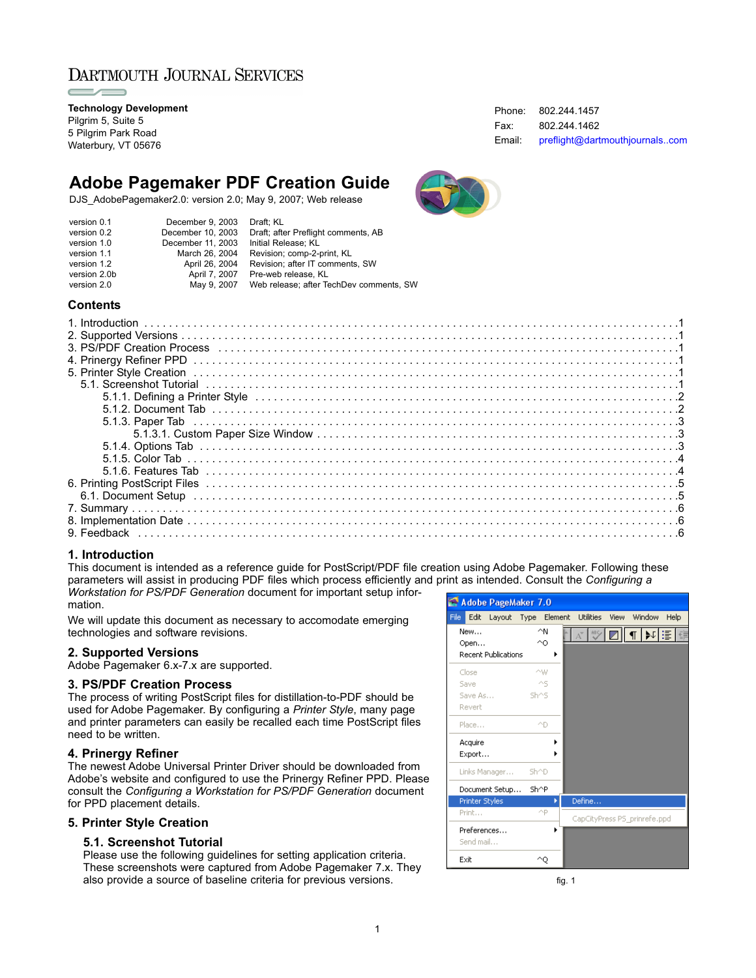# DARTMOUTH JOURNAL SERVICES

**Technology Development** Pilgrim 5, Suite 5 5 Pilgrim Park Road Waterbury, VT 05676

# **Adobe Pagemaker PDF Creation Guide**

DJS\_AdobePagemaker2.0: version 2.0; May 9, 2007; Web release

| version 0.1  | December 9, 2003  | Draft: KL                               |
|--------------|-------------------|-----------------------------------------|
| version 0.2  | December 10, 2003 | Draft; after Preflight comments, AB     |
| version 1.0  | December 11, 2003 | Initial Release: KL                     |
| version 1.1  | March 26, 2004    | Revision; comp-2-print, KL              |
| version 1.2  | April 26, 2004    | Revision: after IT comments, SW         |
| version 2.0b | April 7, 2007     | Pre-web release. KL                     |
| version 2.0  | May 9, 2007       | Web release; after TechDev comments, SW |
|              |                   |                                         |

#### **Contents**

#### **1. Introduction**

This document is intended as a reference guide for PostScript/PDF file creation using Adobe Pagemaker. Following these parameters will assist in producing PDF files which process efficiently and print as intended. Consult the *Configuring a Workstation for PS/PDF Generation* document for important setup information.

We will update this document as necessary to accomodate emerging technologies and software revisions.

#### **2. Supported Versions**

Adobe Pagemaker 6.x-7.x are supported.

#### **3. PS/PDF Creation Process**

The process of writing PostScript files for distillation-to-PDF should be used for Adobe Pagemaker. By configuring a *Printer Style*, many page and printer parameters can easily be recalled each time PostScript files need to be written.

#### **4. Prinergy Refiner**

The newest Adobe Universal Printer Driver should be downloaded from Adobe's website and configured to use the Prinergy Refiner PPD. Please consult the *Configuring a Workstation for PS/PDF Generation* document for PPD placement details.

#### **5. Printer Style Creation**

#### **5.1. Screenshot Tutorial**

Please use the following guidelines for setting application criteria. These screenshots were captured from Adobe Pagemaker 7.x. They also provide a source of baseline criteria for previous versions.



fig. 1

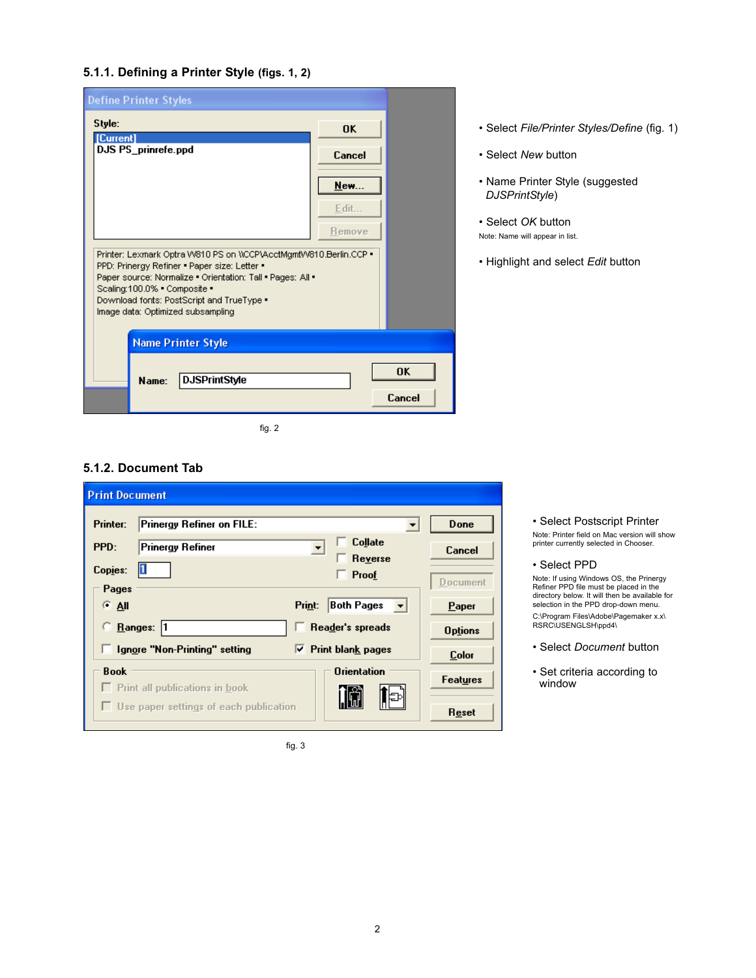# **5.1.1. Defining a Printer Style (figs. 1, 2)**

| <b>Define Printer Styles</b>                                                                                     |        |           |
|------------------------------------------------------------------------------------------------------------------|--------|-----------|
| Style:<br>[Current]                                                                                              | 0K     |           |
| DJS PS_prinrefe.ppd                                                                                              | Cancel |           |
|                                                                                                                  | New    |           |
|                                                                                                                  | Edit   |           |
|                                                                                                                  | Remove |           |
| Printer: Lexmark Optra W810 PS on WCCP\AcctMgmtW810.Berlin.CCP .<br>PPD: Prinergy Refiner . Paper size: Letter . |        |           |
| Paper source: Normalize . Orientation: Tall . Pages: All .<br>Scaling:100.0% . Composite .                       |        |           |
| Download fonts: PostScript and TrueType .<br>Image data: Optimized subsampling                                   |        |           |
| <b>Name Printer Style</b>                                                                                        |        |           |
|                                                                                                                  |        | <b>OK</b> |
| <b>DJSPrintStyle</b><br>Name:                                                                                    |        | Cancel    |
|                                                                                                                  |        |           |

fig. 2

## • Select *File/Printer Styles/Define* (fig. 1)

- Select *New* button
- Name Printer Style (suggested *DJSPrintStyle*)
- Select *OK* button Note: Name will appear in list.
- Highlight and select *Edit* button

# **5.1.2. Document Tab**

| <b>Print Document</b>                         |                                           |                 |
|-----------------------------------------------|-------------------------------------------|-----------------|
| Printer:<br><b>Prinergy Refiner on FILE:</b>  |                                           | Done            |
| PPD:<br><b>Prinergy Refiner</b>               | <b>Collate</b><br>Reverse                 | Cancel          |
| Copies:<br>Pages                              | $\Box$ Proof                              | Document        |
| $G$ All                                       | Both Pages<br>Print:<br>╶╶┙               | Paper           |
| Range:  1                                     | <b>Reader's spreads</b>                   | <b>Options</b>  |
| Ignore "Non-Printing" setting<br><b>Book</b>  | $\nabla$ Print blank pages<br>Orientation | <b>Color</b>    |
| $\Box$ Print all publications in book         | l⊫⊳                                       | <b>Features</b> |
| $\Box$ Use paper settings of each publication |                                           | Reset           |

fig. 3

• Select Postscript Printer Note: Printer field on Mac version will show printer currently selected in Chooser.

• Select PPD

Note: If using Windows OS, the Prinergy Refiner PPD file must be placed in the directory below. It will then be available for selection in the PPD drop-down menu. C:\Program Files\Adobe\Pagemaker x.x\ RSRC\USENGLSH\ppd4\

- Select *Document* button
- Set criteria according to window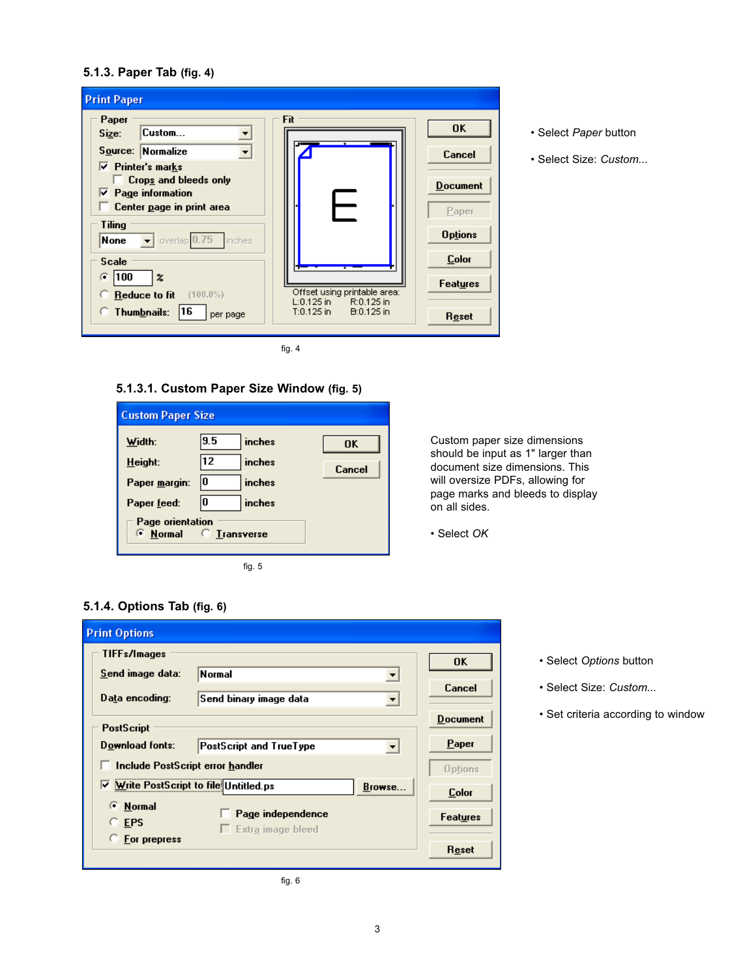## **5.1.3. Paper Tab (fig. 4)**

| <b>Print Paper</b>                                                                                          |                                                          |                          |
|-------------------------------------------------------------------------------------------------------------|----------------------------------------------------------|--------------------------|
| Paper<br>Custom<br>Size:                                                                                    | Fit                                                      | 0K                       |
| Source: Normalize                                                                                           |                                                          | Cancel                   |
| $\nabla$ Printer's marks<br>Crops and bleeds only<br>$\nabla$ Page information<br>Center page in print area |                                                          | <b>Document</b><br>Paper |
| Tiling<br>None<br>overlap 0.75<br>inches                                                                    |                                                          | <b>Options</b>           |
| <b>Scale</b><br>G.                                                                                          |                                                          | <b>Color</b>             |
| 100<br>$\boldsymbol{z}$<br>Reduce to fit<br>$(100.0\%)$                                                     | Offset using printable area:                             | <b>Features</b>          |
| Thumbnails:<br><b>16</b><br>per page                                                                        | L:0.125 in<br>R:0.125 in<br>$T:0.125$ in<br>$B:0.125$ in | Reset                    |

fig. 4

# **5.1.3.1. Custom Paper Size Window (fig. 5)**

| <b>Custom Paper Size</b>                         |     |          |           |
|--------------------------------------------------|-----|----------|-----------|
| Width:                                           | 9.5 | inches   | <b>OK</b> |
| Height:                                          | 12  | inches   | Cancel    |
| Paper margin:                                    | 10  | inches   |           |
| Paper feed:                                      | 10  | inches   |           |
| Page orientation<br><b>Expormal</b> C Liansverse |     |          |           |
|                                                  |     | fig. $5$ |           |

Custom paper size dimensions should be input as 1" larger than document size dimensions. This will oversize PDFs, allowing for page marks and bleeds to display on all sides.

• Select *OK*

# **5.1.4. Options Tab (fig. 6)**

| <b>Print Options</b>                             |                                               |                 |
|--------------------------------------------------|-----------------------------------------------|-----------------|
| <b>TIFFs/Images</b>                              |                                               | <b>OK</b>       |
| Send image data:                                 | Normal                                        |                 |
| Data encoding:                                   | Send binary image data                        | Cancel          |
| <b>PostScript</b>                                |                                               | <b>Document</b> |
| Download fonts:                                  | PostScript and TrueType                       | Paper           |
| Include PostScript error handler                 |                                               | <b>Options</b>  |
| ☑ Write PostScript to file Untitled.ps           | Browse                                        | <b>Color</b>    |
| <b>Normal</b><br>Œ<br><b>EPS</b><br>For prepress | Page independence<br>$\Box$ Extra image bleed | <b>Features</b> |
|                                                  |                                               | Reset           |
|                                                  | fig. $6$                                      |                 |

• Select *Options* button

• Select *Paper* button

• Select Size: *Custom...*

- Select Size: *Custom...*
- Set criteria according to window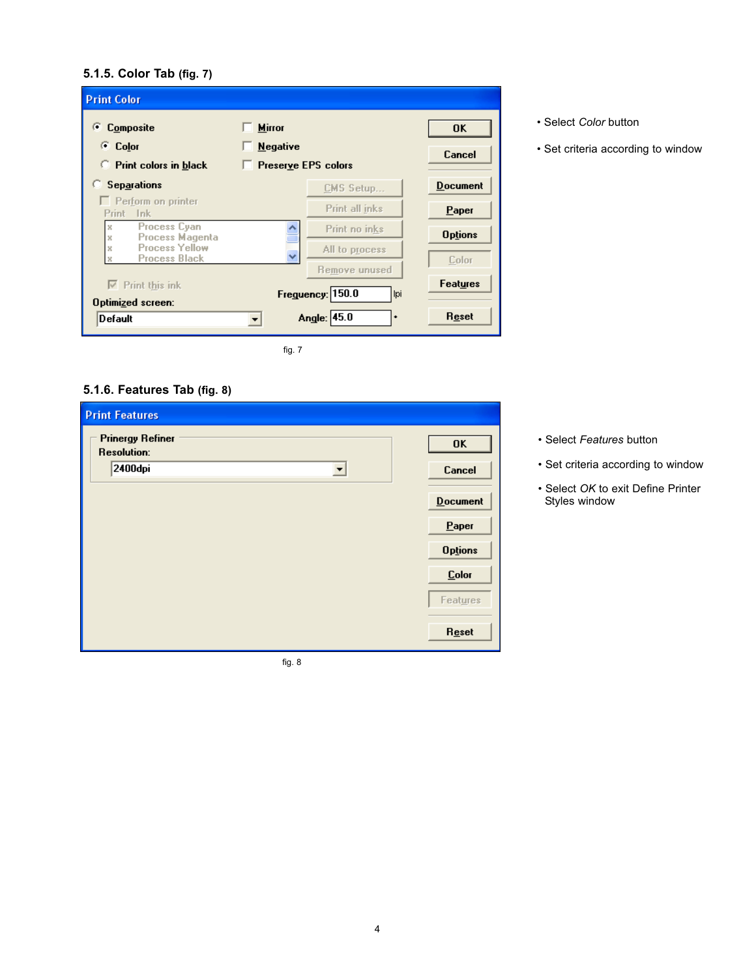# **5.1.5. Color Tab (fig. 7)**

| Composite<br>G.                                                                       | <b>Mirror</b>                            | <b>OK</b>                |
|---------------------------------------------------------------------------------------|------------------------------------------|--------------------------|
| <b>Color</b><br>œ.<br>Print colors in black                                           | <b>Negative</b><br>Preserve EPS colors   | Cancel                   |
| <b>Separations</b>                                                                    | CMS Setup                                | <b>Document</b>          |
| $\Box$ Perform on printer<br>Print Ink                                                | Print all inks                           | Paper                    |
| <b>Process Cyan</b><br>x<br><b>Process Magenta</b><br>x<br><b>Process Yellow</b><br>x | Print no inks<br>All to process          | <b>Options</b>           |
| <b>Process Black</b><br>$\nabla$ Print this ink                                       | Remove unused<br>Freguency: 150.0<br>lpi | Color<br><b>Features</b> |
| <b>Optimized screen:</b><br>Default                                                   | Angle: 45.0<br>٠                         | Reset                    |

• Select *Color* button

• Set criteria according to window

# **5.1.6. Features Tab (fig. 8)**

| <b>Print Features</b>                         |                |
|-----------------------------------------------|----------------|
| <b>Prinergy Refiner</b><br><b>Resolution:</b> | OK             |
| 2400dpi<br>$\blacktriangledown$               | Cancel         |
|                                               | Document       |
|                                               | $P$ aper       |
|                                               | <b>Options</b> |
|                                               | <b>Color</b>   |
|                                               | Features       |
|                                               |                |
|                                               | Reset          |

fig. 8

- Select *Features* button
- Set criteria according to window
- Select *OK* to exit Define Printer Styles window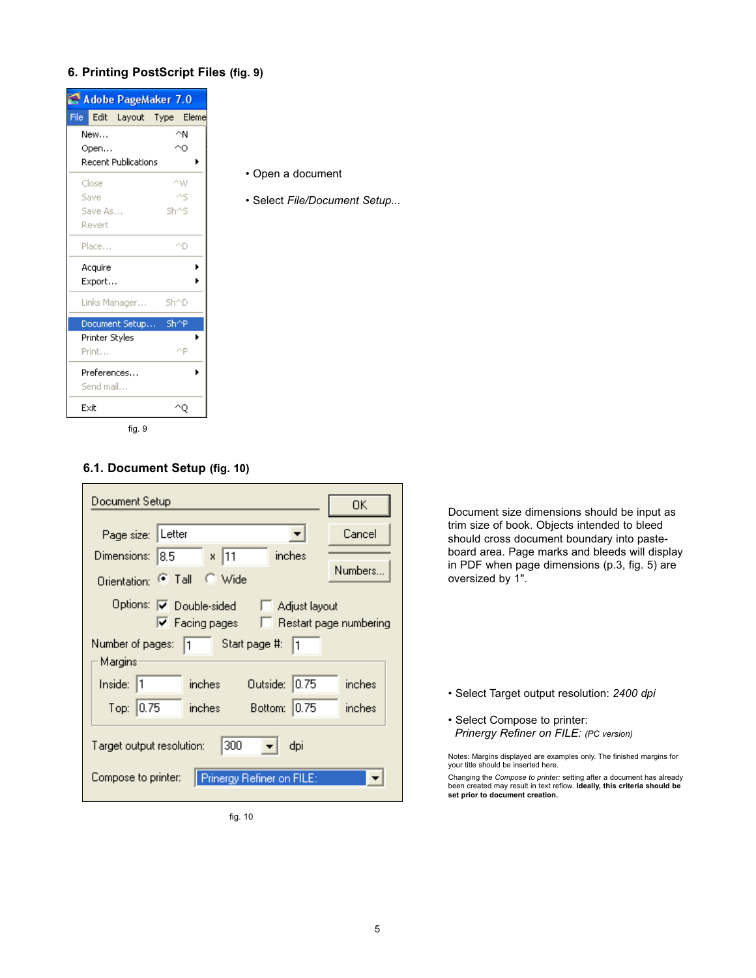# **6. Printing PostScript Files (fig. 9)**



- Open a document
- Select *File/Document Setup...*

# **6.1. Document Setup (fig. 10)**

| Document Setup                                                                                                                     | 0K      |  |  |
|------------------------------------------------------------------------------------------------------------------------------------|---------|--|--|
| Page size: Letter                                                                                                                  | Cancel  |  |  |
| Dimensions: 8.5 x 11<br>inches                                                                                                     |         |  |  |
| Orientation: <sup>@</sup> Tall C Wide                                                                                              | Numbers |  |  |
| Options: IV Double-sided<br>Adjust layout<br>$\nabla$ Facing pages<br>□ Restart page numbering<br>Number of pages: 1 Start page #: |         |  |  |
| Margins                                                                                                                            |         |  |  |
| Inside:  1<br>Outside: 0.75<br>inches                                                                                              | inches  |  |  |
| Top: 0.75<br>inches<br>Bottom: 0.75                                                                                                | inches  |  |  |
| 300<br>Target output resolution:<br>dpi<br>Compose to printer:<br>Prinergy Refiner on FILE:                                        |         |  |  |
|                                                                                                                                    |         |  |  |

fig. 10

Document size dimensions should be input as trim size of book. Objects intended to bleed should cross document boundary into pasteboard area. Page marks and bleeds will display in PDF when page dimensions (p.3, fig. 5) are oversized by 1".

- Select Target output resolution: *2400 dpi*
- Select Compose to printer: *Prinergy Refiner on FILE: (PC version)*

Notes: Margins displayed are examples only. The finished margins for your title should be inserted here.

Changing the *Compose to printer:* setting after a document has already been created may result in text reflow. **Ideally, this criteria should be set prior to document creation.**